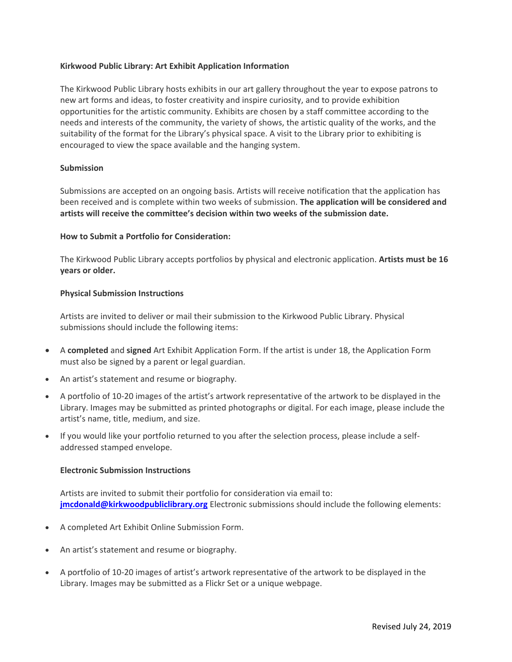## **Kirkwood Public Library: Art Exhibit Application Information**

The Kirkwood Public Library hosts exhibits in our art gallery throughout the year to expose patrons to new art forms and ideas, to foster creativity and inspire curiosity, and to provide exhibition opportunities for the artistic community. Exhibits are chosen by a staff committee according to the needs and interests of the community, the variety of shows, the artistic quality of the works, and the suitability of the format for the Library's physical space. A visit to the Library prior to exhibiting is encouraged to view the space available and the hanging system.

### **Submission**

Submissions are accepted on an ongoing basis. Artists will receive notification that the application has been received and is complete within two weeks of submission. **The application will be considered and artists will receive the committee's decision within two weeks of the submission date.**

## **How to Submit a Portfolio for Consideration:**

The Kirkwood Public Library accepts portfolios by physical and electronic application. **Artists must be 16 years or older.**

## **Physical Submission Instructions**

Artists are invited to deliver or mail their submission to the Kirkwood Public Library. Physical submissions should include the following items:

- A **completed** and **signed** Art Exhibit Application Form. If the artist is under 18, the Application Form must also be signed by a parent or legal guardian.
- An artist's statement and resume or biography.
- A portfolio of 10-20 images of the artist's artwork representative of the artwork to be displayed in the Library. Images may be submitted as printed photographs or digital. For each image, please include the artist's name, title, medium, and size.
- If you would like your portfolio returned to you after the selection process, please include a selfaddressed stamped envelope.

#### **Electronic Submission Instructions**

Artists are invited to submit their portfolio for consideration via email to: **[jmcdonald@kirkwoodpubliclibrary.org](mailto:jmcdonald@kirkwoodpubliclibrary.org)** Electronic submissions should include the following elements:

- A completed Art Exhibit Online Submission Form.
- An artist's statement and resume or biography.
- A portfolio of 10-20 images of artist's artwork representative of the artwork to be displayed in the Library. Images may be submitted as a Flickr Set or a unique webpage.